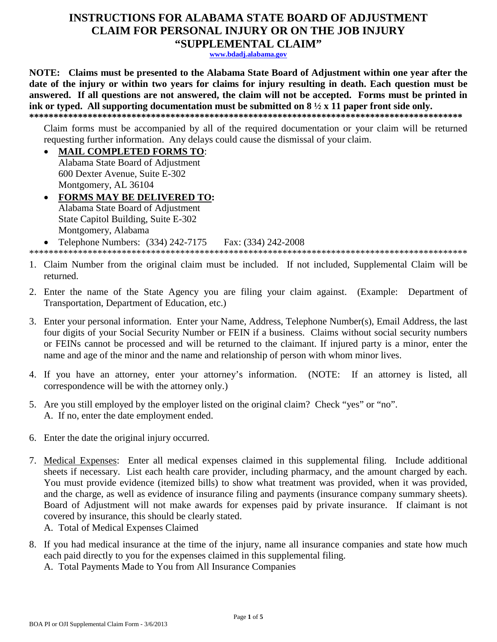## **INSTRUCTIONS FOR ALABAMA STATE BOARD OF ADJUSTMENT CLAIM FOR PERSONAL INJURY OR ON THE JOB INJURY** "SUPPLEMENTAL CLAIM"

www.bdadj.alabama.gov

NOTE: Claims must be presented to the Alabama State Board of Adjustment within one year after the date of the injury or within two years for claims for injury resulting in death. Each question must be answered. If all questions are not answered, the claim will not be accepted. Forms must be printed in ink or typed. All supporting documentation must be submitted on  $8\frac{1}{2} \times 11$  paper front side only. 

Claim forms must be accompanied by all of the required documentation or your claim will be returned requesting further information. Any delays could cause the dismissal of your claim.

**MAIL COMPLETED FORMS TO:**  $\bullet$ 

Alabama State Board of Adjustment 600 Dexter Avenue, Suite E-302 Montgomery, AL 36104

**FORMS MAY BE DELIVERED TO:** Alabama State Board of Adjustment State Capitol Building, Suite E-302 Montgomery, Alabama Telephone Numbers: (334) 242-7175 Fax: (334) 242-2008

- 1. Claim Number from the original claim must be included. If not included, Supplemental Claim will be returned.
- 2. Enter the name of the State Agency you are filing your claim against. (Example: Department of Transportation, Department of Education, etc.)
- 3. Enter your personal information. Enter your Name, Address, Telephone Number(s), Email Address, the last four digits of your Social Security Number or FEIN if a business. Claims without social security numbers or FEINs cannot be processed and will be returned to the claimant. If injured party is a minor, enter the name and age of the minor and the name and relationship of person with whom minor lives.
- 4. If you have an attorney, enter your attorney's information. (NOTE: If an attorney is listed, all correspondence will be with the attorney only.)
- 5. Are you still employed by the employer listed on the original claim? Check "yes" or "no". A. If no, enter the date employment ended.
- 6. Enter the date the original injury occurred.
- 7. Medical Expenses: Enter all medical expenses claimed in this supplemental filing. Include additional sheets if necessary. List each health care provider, including pharmacy, and the amount charged by each. You must provide evidence (itemized bills) to show what treatment was provided, when it was provided, and the charge, as well as evidence of insurance filing and payments (insurance company summary sheets). Board of Adjustment will not make awards for expenses paid by private insurance. If claimant is not covered by insurance, this should be clearly stated.
	- A. Total of Medical Expenses Claimed
- 8. If you had medical insurance at the time of the injury, name all insurance companies and state how much each paid directly to you for the expenses claimed in this supplemental filing.
	- A. Total Payments Made to You from All Insurance Companies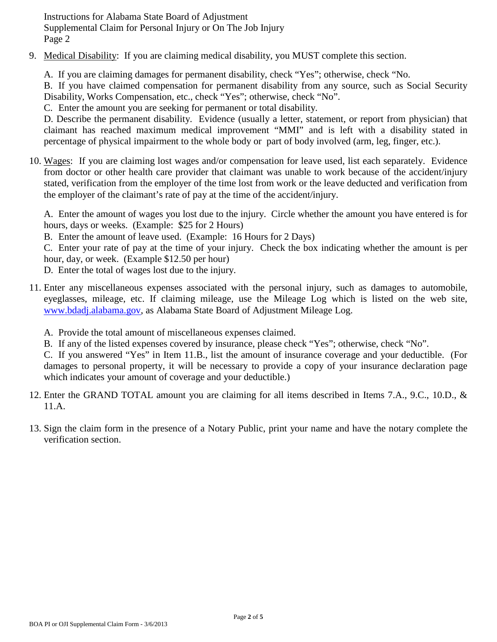Instructions for Alabama State Board of Adjustment Supplemental Claim for Personal Injury or On The Job Injury Page 2

- 9. Medical Disability: If you are claiming medical disability, you MUST complete this section.
	- A. If you are claiming damages for permanent disability, check "Yes"; otherwise, check "No.

B. If you have claimed compensation for permanent disability from any source, such as Social Security Disability, Works Compensation, etc., check "Yes"; otherwise, check "No".

C. Enter the amount you are seeking for permanent or total disability.

D. Describe the permanent disability. Evidence (usually a letter, statement, or report from physician) that claimant has reached maximum medical improvement "MMI" and is left with a disability stated in percentage of physical impairment to the whole body or part of body involved (arm, leg, finger, etc.).

10. Wages: If you are claiming lost wages and/or compensation for leave used, list each separately. Evidence from doctor or other health care provider that claimant was unable to work because of the accident/injury stated, verification from the employer of the time lost from work or the leave deducted and verification from the employer of the claimant's rate of pay at the time of the accident/injury.

A. Enter the amount of wages you lost due to the injury. Circle whether the amount you have entered is for hours, days or weeks. (Example: \$25 for 2 Hours)

B. Enter the amount of leave used. (Example: 16 Hours for 2 Days)

C. Enter your rate of pay at the time of your injury. Check the box indicating whether the amount is per hour, day, or week. (Example \$12.50 per hour)

- D. Enter the total of wages lost due to the injury.
- 11. Enter any miscellaneous expenses associated with the personal injury, such as damages to automobile, eyeglasses, mileage, etc. If claiming mileage, use the Mileage Log which is listed on the web site, www.bdadj.alabama.gov, as Alabama State Board of Adjustment Mileage Log.
	- A. Provide the total amount of miscellaneous expenses claimed.
	- B. If any of the listed expenses covered by insurance, please check "Yes"; otherwise, check "No".

C. If you answered "Yes" in Item 11.B., list the amount of insurance coverage and your deductible. (For damages to personal property, it will be necessary to provide a copy of your insurance declaration page which indicates your amount of coverage and your deductible.)

- 12. Enter the GRAND TOTAL amount you are claiming for all items described in Items 7.A., 9.C., 10.D., & 11.A.
- 13. Sign the claim form in the presence of a Notary Public, print your name and have the notary complete the verification section.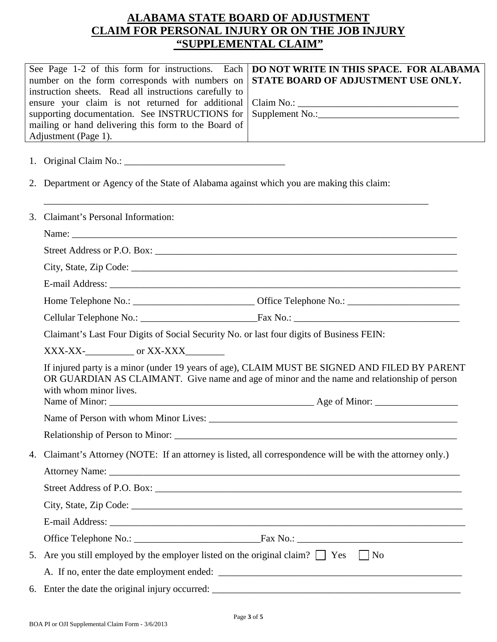# **ALABAMA STATE BOARD OF ADJUSTMENT CLAIM FOR PERSONAL INJURY OR ON THE JOB INJURY "SUPPLEMENTAL CLAIM"**

|    | See Page 1-2 of this form for instructions. Each<br>number on the form corresponds with numbers on<br>instruction sheets. Read all instructions carefully to<br>ensure your claim is not returned for additional<br>supporting documentation. See INSTRUCTIONS for<br>mailing or hand delivering this form to the Board of<br>Adjustment (Page 1). | DO NOT WRITE IN THIS SPACE. FOR ALABAMA<br>STATE BOARD OF ADJUSTMENT USE ONLY.                                                                                                               |  |  |  |
|----|----------------------------------------------------------------------------------------------------------------------------------------------------------------------------------------------------------------------------------------------------------------------------------------------------------------------------------------------------|----------------------------------------------------------------------------------------------------------------------------------------------------------------------------------------------|--|--|--|
|    |                                                                                                                                                                                                                                                                                                                                                    |                                                                                                                                                                                              |  |  |  |
|    | 2. Department or Agency of the State of Alabama against which you are making this claim:                                                                                                                                                                                                                                                           |                                                                                                                                                                                              |  |  |  |
| 3. | Claimant's Personal Information:                                                                                                                                                                                                                                                                                                                   |                                                                                                                                                                                              |  |  |  |
|    |                                                                                                                                                                                                                                                                                                                                                    |                                                                                                                                                                                              |  |  |  |
|    |                                                                                                                                                                                                                                                                                                                                                    |                                                                                                                                                                                              |  |  |  |
|    |                                                                                                                                                                                                                                                                                                                                                    |                                                                                                                                                                                              |  |  |  |
|    |                                                                                                                                                                                                                                                                                                                                                    |                                                                                                                                                                                              |  |  |  |
|    |                                                                                                                                                                                                                                                                                                                                                    |                                                                                                                                                                                              |  |  |  |
|    |                                                                                                                                                                                                                                                                                                                                                    |                                                                                                                                                                                              |  |  |  |
|    | Claimant's Last Four Digits of Social Security No. or last four digits of Business FEIN:                                                                                                                                                                                                                                                           |                                                                                                                                                                                              |  |  |  |
|    | $XXX-XX$ - $\qquad \qquad$ or $XX-XXX$                                                                                                                                                                                                                                                                                                             |                                                                                                                                                                                              |  |  |  |
|    | with whom minor lives.                                                                                                                                                                                                                                                                                                                             | If injured party is a minor (under 19 years of age), CLAIM MUST BE SIGNED AND FILED BY PARENT<br>OR GUARDIAN AS CLAIMANT. Give name and age of minor and the name and relationship of person |  |  |  |
|    |                                                                                                                                                                                                                                                                                                                                                    |                                                                                                                                                                                              |  |  |  |
|    |                                                                                                                                                                                                                                                                                                                                                    |                                                                                                                                                                                              |  |  |  |
|    |                                                                                                                                                                                                                                                                                                                                                    |                                                                                                                                                                                              |  |  |  |
| 4. | Claimant's Attorney (NOTE: If an attorney is listed, all correspondence will be with the attorney only.)                                                                                                                                                                                                                                           |                                                                                                                                                                                              |  |  |  |
|    |                                                                                                                                                                                                                                                                                                                                                    |                                                                                                                                                                                              |  |  |  |
|    |                                                                                                                                                                                                                                                                                                                                                    |                                                                                                                                                                                              |  |  |  |
|    |                                                                                                                                                                                                                                                                                                                                                    |                                                                                                                                                                                              |  |  |  |
|    |                                                                                                                                                                                                                                                                                                                                                    |                                                                                                                                                                                              |  |  |  |
|    |                                                                                                                                                                                                                                                                                                                                                    |                                                                                                                                                                                              |  |  |  |
|    | 5. Are you still employed by the employer listed on the original claim? $\Box$ Yes $\Box$ No                                                                                                                                                                                                                                                       |                                                                                                                                                                                              |  |  |  |
|    |                                                                                                                                                                                                                                                                                                                                                    |                                                                                                                                                                                              |  |  |  |
|    |                                                                                                                                                                                                                                                                                                                                                    |                                                                                                                                                                                              |  |  |  |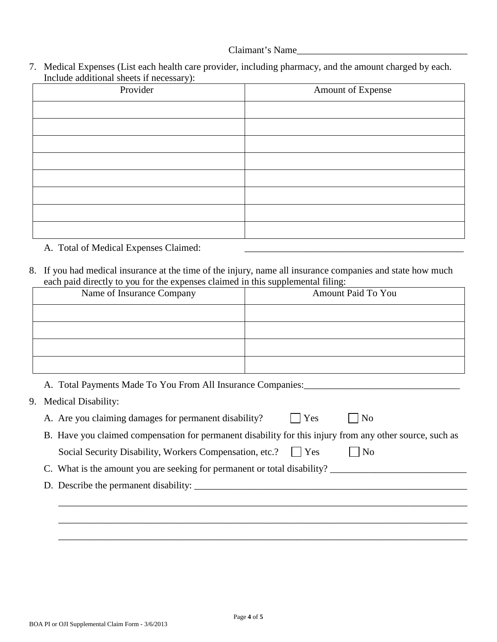### Claimant's Name\_\_\_\_\_\_\_\_\_\_\_\_\_\_\_\_\_\_\_\_\_\_\_\_\_\_\_\_\_\_\_\_\_\_\_

7. Medical Expenses (List each health care provider, including pharmacy, and the amount charged by each. Include additional sheets if necessary):

| $\cdot$ $\cdot$<br>Provider | Amount of Expense |
|-----------------------------|-------------------|
|                             |                   |
|                             |                   |
|                             |                   |
|                             |                   |
|                             |                   |
|                             |                   |
|                             |                   |
|                             |                   |

A. Total of Medical Expenses Claimed: \_\_\_\_\_\_\_\_\_\_\_\_\_\_\_\_\_\_\_\_\_\_\_\_\_\_\_\_\_\_\_\_\_\_\_\_\_\_\_\_\_\_\_\_\_

8. If you had medical insurance at the time of the injury, name all insurance companies and state how much each paid directly to you for the expenses claimed in this supplemental filing:

| Name of Insurance Company                                                | Amount Paid To You                                                                                       |
|--------------------------------------------------------------------------|----------------------------------------------------------------------------------------------------------|
|                                                                          |                                                                                                          |
|                                                                          |                                                                                                          |
|                                                                          |                                                                                                          |
|                                                                          |                                                                                                          |
|                                                                          | A. Total Payments Made To You From All Insurance Companies:                                              |
| 9. Medical Disability:                                                   |                                                                                                          |
| A. Are you claiming damages for permanent disability?                    | Yes<br>N <sub>o</sub>                                                                                    |
|                                                                          | B. Have you claimed compensation for permanent disability for this injury from any other source, such as |
| Social Security Disability, Workers Compensation, etc.?                  | $ $   Yes<br>N <sub>o</sub>                                                                              |
| C. What is the amount you are seeking for permanent or total disability? |                                                                                                          |
|                                                                          |                                                                                                          |
|                                                                          |                                                                                                          |
|                                                                          |                                                                                                          |
|                                                                          |                                                                                                          |